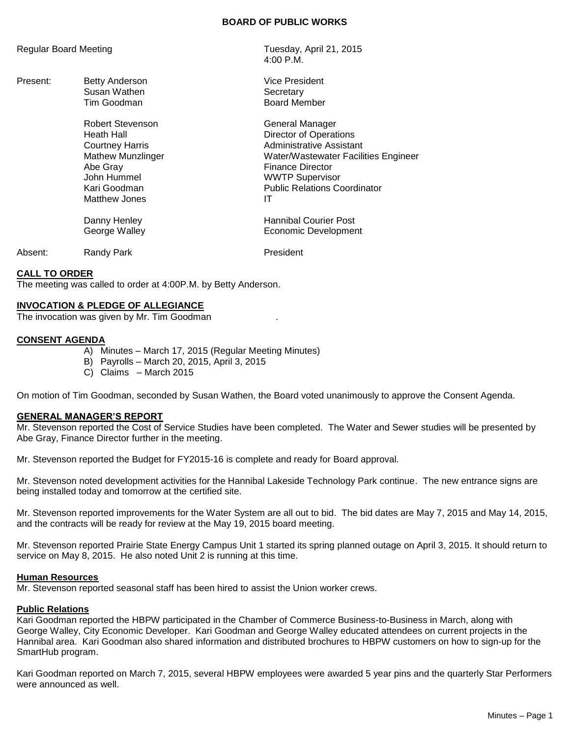### **BOARD OF PUBLIC WORKS**

4:00 P.M.

Board Member

| <b>Regular Board Meeting</b> | Tuesday, April 21, 2015 |
|------------------------------|-------------------------|
|                              |                         |

- Present: Betty Anderson **Vice President** Vice President Susan Wathen Secretary<br>Tim Goodman Secretary Secretary Secretary
	- Robert Stevenson General Manager Heath Hall **Hall** Director of Operations **Courtney Harris** Courtney Harris **Administrative Assistant** Mathew Munzlinger Water/Wastewater Facilities Engineer Abe Gray **Finance Director** John Hummel WWTP Supervisor Kari Goodman **Network** Public Relations Coordinator Matthew Jones **IT** Danny Henley **Hannibal Courier Post** George Walley **Example 20** Economic Development

Absent: Randy Park **President** 

### **CALL TO ORDER**

The meeting was called to order at 4:00P.M. by Betty Anderson.

### **INVOCATION & PLEDGE OF ALLEGIANCE**

The invocation was given by Mr. Tim Goodman .

### **CONSENT AGENDA**

- A) Minutes March 17, 2015 (Regular Meeting Minutes)
- B) Payrolls March 20, 2015, April 3, 2015
- C) Claims March 2015

On motion of Tim Goodman, seconded by Susan Wathen, the Board voted unanimously to approve the Consent Agenda.

#### **GENERAL MANAGER'S REPORT**

Mr. Stevenson reported the Cost of Service Studies have been completed. The Water and Sewer studies will be presented by Abe Gray, Finance Director further in the meeting.

Mr. Stevenson reported the Budget for FY2015-16 is complete and ready for Board approval.

Mr. Stevenson noted development activities for the Hannibal Lakeside Technology Park continue. The new entrance signs are being installed today and tomorrow at the certified site.

Mr. Stevenson reported improvements for the Water System are all out to bid. The bid dates are May 7, 2015 and May 14, 2015, and the contracts will be ready for review at the May 19, 2015 board meeting.

Mr. Stevenson reported Prairie State Energy Campus Unit 1 started its spring planned outage on April 3, 2015. It should return to service on May 8, 2015. He also noted Unit 2 is running at this time.

#### **Human Resources**

Mr. Stevenson reported seasonal staff has been hired to assist the Union worker crews.

#### **Public Relations**

Kari Goodman reported the HBPW participated in the Chamber of Commerce Business-to-Business in March, along with George Walley, City Economic Developer. Kari Goodman and George Walley educated attendees on current projects in the Hannibal area. Kari Goodman also shared information and distributed brochures to HBPW customers on how to sign-up for the SmartHub program.

Kari Goodman reported on March 7, 2015, several HBPW employees were awarded 5 year pins and the quarterly Star Performers were announced as well.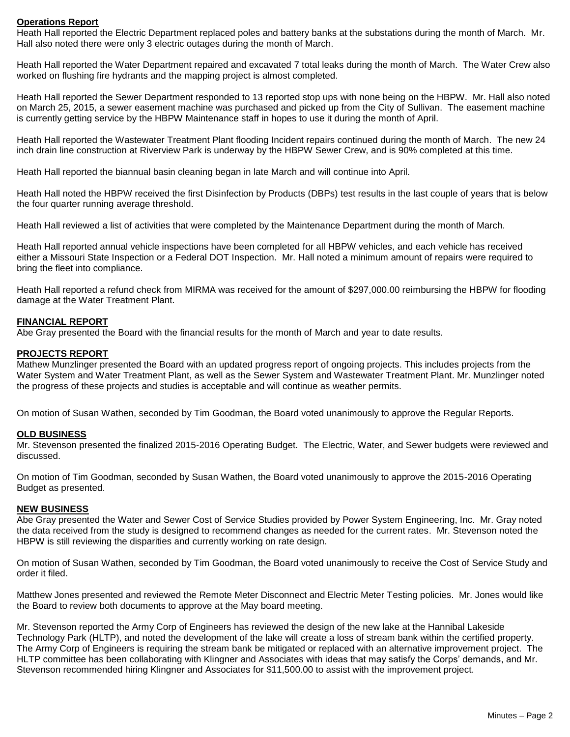# **Operations Report**

Heath Hall reported the Electric Department replaced poles and battery banks at the substations during the month of March. Mr. Hall also noted there were only 3 electric outages during the month of March.

Heath Hall reported the Water Department repaired and excavated 7 total leaks during the month of March. The Water Crew also worked on flushing fire hydrants and the mapping project is almost completed.

Heath Hall reported the Sewer Department responded to 13 reported stop ups with none being on the HBPW. Mr. Hall also noted on March 25, 2015, a sewer easement machine was purchased and picked up from the City of Sullivan. The easement machine is currently getting service by the HBPW Maintenance staff in hopes to use it during the month of April.

Heath Hall reported the Wastewater Treatment Plant flooding Incident repairs continued during the month of March. The new 24 inch drain line construction at Riverview Park is underway by the HBPW Sewer Crew, and is 90% completed at this time.

Heath Hall reported the biannual basin cleaning began in late March and will continue into April.

Heath Hall noted the HBPW received the first Disinfection by Products (DBPs) test results in the last couple of years that is below the four quarter running average threshold.

Heath Hall reviewed a list of activities that were completed by the Maintenance Department during the month of March.

Heath Hall reported annual vehicle inspections have been completed for all HBPW vehicles, and each vehicle has received either a Missouri State Inspection or a Federal DOT Inspection. Mr. Hall noted a minimum amount of repairs were required to bring the fleet into compliance.

Heath Hall reported a refund check from MIRMA was received for the amount of \$297,000.00 reimbursing the HBPW for flooding damage at the Water Treatment Plant.

# **FINANCIAL REPORT**

Abe Gray presented the Board with the financial results for the month of March and year to date results.

### **PROJECTS REPORT**

Mathew Munzlinger presented the Board with an updated progress report of ongoing projects. This includes projects from the Water System and Water Treatment Plant, as well as the Sewer System and Wastewater Treatment Plant. Mr. Munzlinger noted the progress of these projects and studies is acceptable and will continue as weather permits.

On motion of Susan Wathen, seconded by Tim Goodman, the Board voted unanimously to approve the Regular Reports.

# **OLD BUSINESS**

Mr. Stevenson presented the finalized 2015-2016 Operating Budget. The Electric, Water, and Sewer budgets were reviewed and discussed.

On motion of Tim Goodman, seconded by Susan Wathen, the Board voted unanimously to approve the 2015-2016 Operating Budget as presented.

# **NEW BUSINESS**

Abe Gray presented the Water and Sewer Cost of Service Studies provided by Power System Engineering, Inc. Mr. Gray noted the data received from the study is designed to recommend changes as needed for the current rates. Mr. Stevenson noted the HBPW is still reviewing the disparities and currently working on rate design.

On motion of Susan Wathen, seconded by Tim Goodman, the Board voted unanimously to receive the Cost of Service Study and order it filed.

Matthew Jones presented and reviewed the Remote Meter Disconnect and Electric Meter Testing policies. Mr. Jones would like the Board to review both documents to approve at the May board meeting.

Mr. Stevenson reported the Army Corp of Engineers has reviewed the design of the new lake at the Hannibal Lakeside Technology Park (HLTP), and noted the development of the lake will create a loss of stream bank within the certified property. The Army Corp of Engineers is requiring the stream bank be mitigated or replaced with an alternative improvement project. The HLTP committee has been collaborating with Klingner and Associates with ideas that may satisfy the Corps' demands, and Mr. Stevenson recommended hiring Klingner and Associates for \$11,500.00 to assist with the improvement project.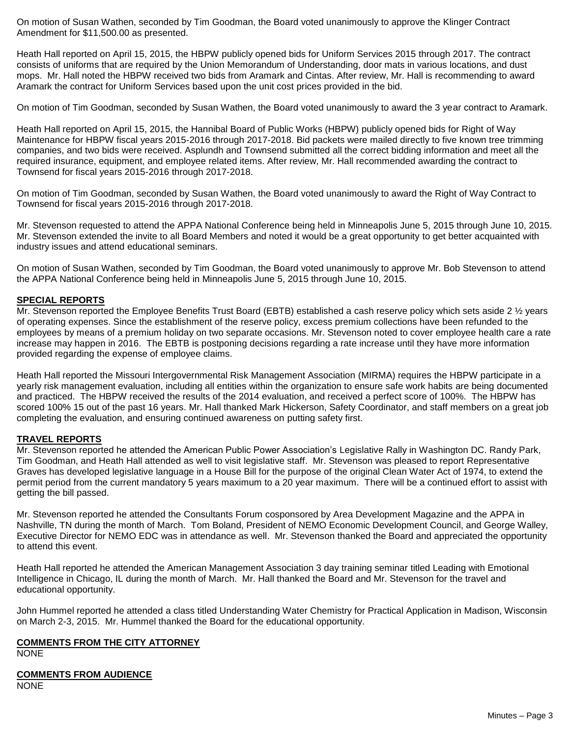On motion of Susan Wathen, seconded by Tim Goodman, the Board voted unanimously to approve the Klinger Contract Amendment for \$11,500.00 as presented.

Heath Hall reported on April 15, 2015, the HBPW publicly opened bids for Uniform Services 2015 through 2017. The contract consists of uniforms that are required by the Union Memorandum of Understanding, door mats in various locations, and dust mops. Mr. Hall noted the HBPW received two bids from Aramark and Cintas. After review, Mr. Hall is recommending to award Aramark the contract for Uniform Services based upon the unit cost prices provided in the bid.

On motion of Tim Goodman, seconded by Susan Wathen, the Board voted unanimously to award the 3 year contract to Aramark.

Heath Hall reported on April 15, 2015, the Hannibal Board of Public Works (HBPW) publicly opened bids for Right of Way Maintenance for HBPW fiscal years 2015-2016 through 2017-2018. Bid packets were mailed directly to five known tree trimming companies, and two bids were received. Asplundh and Townsend submitted all the correct bidding information and meet all the required insurance, equipment, and employee related items. After review, Mr. Hall recommended awarding the contract to Townsend for fiscal years 2015-2016 through 2017-2018.

On motion of Tim Goodman, seconded by Susan Wathen, the Board voted unanimously to award the Right of Way Contract to Townsend for fiscal years 2015-2016 through 2017-2018.

Mr. Stevenson requested to attend the APPA National Conference being held in Minneapolis June 5, 2015 through June 10, 2015. Mr. Stevenson extended the invite to all Board Members and noted it would be a great opportunity to get better acquainted with industry issues and attend educational seminars.

On motion of Susan Wathen, seconded by Tim Goodman, the Board voted unanimously to approve Mr. Bob Stevenson to attend the APPA National Conference being held in Minneapolis June 5, 2015 through June 10, 2015.

# **SPECIAL REPORTS**

Mr. Stevenson reported the Employee Benefits Trust Board (EBTB) established a cash reserve policy which sets aside 2  $\frac{1}{2}$  years of operating expenses. Since the establishment of the reserve policy, excess premium collections have been refunded to the employees by means of a premium holiday on two separate occasions. Mr. Stevenson noted to cover employee health care a rate increase may happen in 2016. The EBTB is postponing decisions regarding a rate increase until they have more information provided regarding the expense of employee claims.

Heath Hall reported the Missouri Intergovernmental Risk Management Association (MIRMA) requires the HBPW participate in a yearly risk management evaluation, including all entities within the organization to ensure safe work habits are being documented and practiced. The HBPW received the results of the 2014 evaluation, and received a perfect score of 100%. The HBPW has scored 100% 15 out of the past 16 years. Mr. Hall thanked Mark Hickerson, Safety Coordinator, and staff members on a great job completing the evaluation, and ensuring continued awareness on putting safety first.

## **TRAVEL REPORTS**

Mr. Stevenson reported he attended the American Public Power Association's Legislative Rally in Washington DC. Randy Park, Tim Goodman, and Heath Hall attended as well to visit legislative staff. Mr. Stevenson was pleased to report Representative Graves has developed legislative language in a House Bill for the purpose of the original Clean Water Act of 1974, to extend the permit period from the current mandatory 5 years maximum to a 20 year maximum. There will be a continued effort to assist with getting the bill passed.

Mr. Stevenson reported he attended the Consultants Forum cosponsored by Area Development Magazine and the APPA in Nashville, TN during the month of March. Tom Boland, President of NEMO Economic Development Council, and George Walley, Executive Director for NEMO EDC was in attendance as well. Mr. Stevenson thanked the Board and appreciated the opportunity to attend this event.

Heath Hall reported he attended the American Management Association 3 day training seminar titled Leading with Emotional Intelligence in Chicago, IL during the month of March. Mr. Hall thanked the Board and Mr. Stevenson for the travel and educational opportunity.

John Hummel reported he attended a class titled Understanding Water Chemistry for Practical Application in Madison, Wisconsin on March 2-3, 2015. Mr. Hummel thanked the Board for the educational opportunity.

# **COMMENTS FROM THE CITY ATTORNEY**

NONE

# **COMMENTS FROM AUDIENCE**

NONE